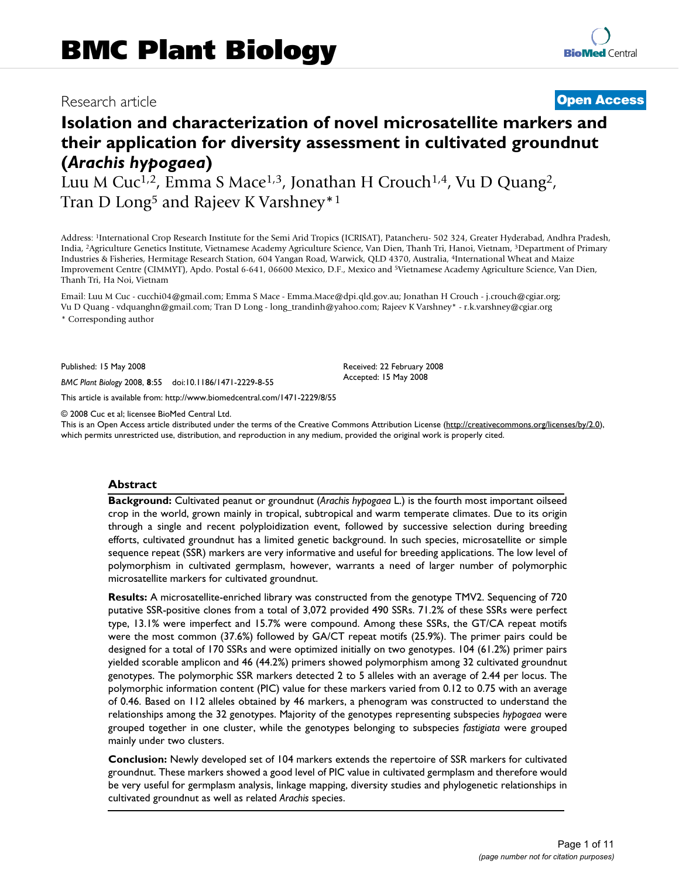# Research article **[Open Access](http://www.biomedcentral.com/info/about/charter/)**

# **Isolation and characterization of novel microsatellite markers and their application for diversity assessment in cultivated groundnut (***Arachis hypogaea***)**

Luu M Cuc<sup>1,2</sup>, Emma S Mace<sup>1,3</sup>, Jonathan H Crouch<sup>1,4</sup>, Vu D Quang<sup>2</sup>, Tran D Long<sup>5</sup> and Rajeev K Varshney<sup>\*1</sup>

Address: 1International Crop Research Institute for the Semi Arid Tropics (ICRISAT), Patancheru- 502 324, Greater Hyderabad, Andhra Pradesh, India, 2Agriculture Genetics Institute, Vietnamese Academy Agriculture Science, Van Dien, Thanh Tri, Hanoi, Vietnam, 3Department of Primary Industries & Fisheries, Hermitage Research Station, 604 Yangan Road, Warwick, QLD 4370, Australia, 4International Wheat and Maize Improvement Centre (CIMMYT), Apdo. Postal 6-641, 06600 Mexico, D.F., Mexico and 5Vietnamese Academy Agriculture Science, Van Dien, Thanh Tri, Ha Noi, Vietnam

Email: Luu M Cuc - cucchi04@gmail.com; Emma S Mace - Emma.Mace@dpi.qld.gov.au; Jonathan H Crouch - j.crouch@cgiar.org; Vu D Quang - vdquanghn@gmail.com; Tran D Long - long\_trandinh@yahoo.com; Rajeev K Varshney\* - r.k.varshney@cgiar.org \* Corresponding author

Published: 15 May 2008

*BMC Plant Biology* 2008, **8**:55 doi:10.1186/1471-2229-8-55

[This article is available from: http://www.biomedcentral.com/1471-2229/8/55](http://www.biomedcentral.com/1471-2229/8/55)

© 2008 Cuc et al; licensee BioMed Central Ltd.

This is an Open Access article distributed under the terms of the Creative Commons Attribution License [\(http://creativecommons.org/licenses/by/2.0\)](http://creativecommons.org/licenses/by/2.0), which permits unrestricted use, distribution, and reproduction in any medium, provided the original work is properly cited.

Received: 22 February 2008 Accepted: 15 May 2008

#### **Abstract**

**Background:** Cultivated peanut or groundnut (*Arachis hypogaea* L.) is the fourth most important oilseed crop in the world, grown mainly in tropical, subtropical and warm temperate climates. Due to its origin through a single and recent polyploidization event, followed by successive selection during breeding efforts, cultivated groundnut has a limited genetic background. In such species, microsatellite or simple sequence repeat (SSR) markers are very informative and useful for breeding applications. The low level of polymorphism in cultivated germplasm, however, warrants a need of larger number of polymorphic microsatellite markers for cultivated groundnut.

**Results:** A microsatellite-enriched library was constructed from the genotype TMV2. Sequencing of 720 putative SSR-positive clones from a total of 3,072 provided 490 SSRs. 71.2% of these SSRs were perfect type, 13.1% were imperfect and 15.7% were compound. Among these SSRs, the GT/CA repeat motifs were the most common (37.6%) followed by GA/CT repeat motifs (25.9%). The primer pairs could be designed for a total of 170 SSRs and were optimized initially on two genotypes. 104 (61.2%) primer pairs yielded scorable amplicon and 46 (44.2%) primers showed polymorphism among 32 cultivated groundnut genotypes. The polymorphic SSR markers detected 2 to 5 alleles with an average of 2.44 per locus. The polymorphic information content (PIC) value for these markers varied from 0.12 to 0.75 with an average of 0.46. Based on 112 alleles obtained by 46 markers, a phenogram was constructed to understand the relationships among the 32 genotypes. Majority of the genotypes representing subspecies *hypogaea* were grouped together in one cluster, while the genotypes belonging to subspecies *fastigiata* were grouped mainly under two clusters.

**Conclusion:** Newly developed set of 104 markers extends the repertoire of SSR markers for cultivated groundnut. These markers showed a good level of PIC value in cultivated germplasm and therefore would be very useful for germplasm analysis, linkage mapping, diversity studies and phylogenetic relationships in cultivated groundnut as well as related *Arachis* species.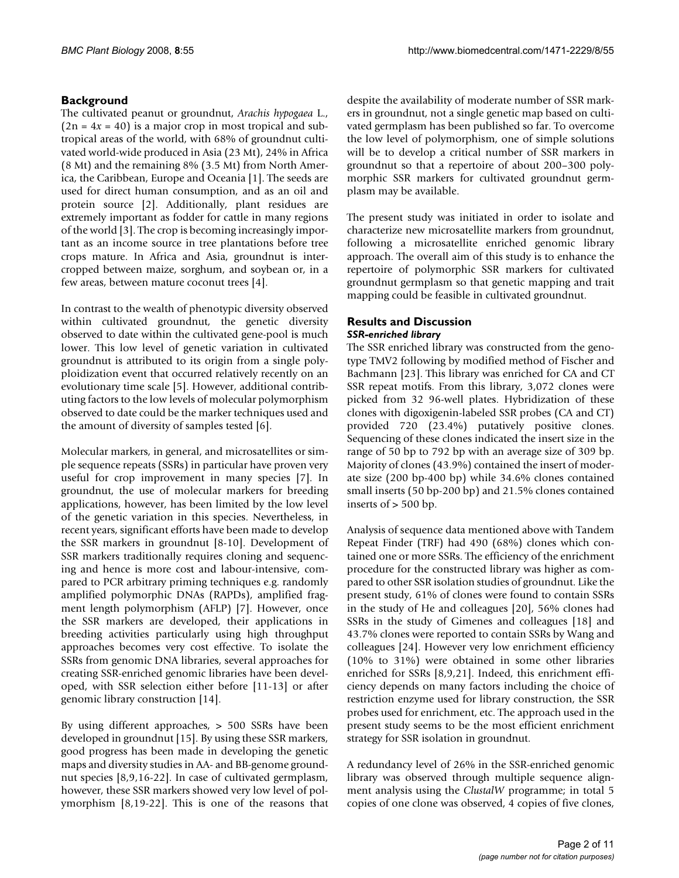# **Background**

The cultivated peanut or groundnut, *Arachis hypogaea* L.,  $(2n = 4x = 40)$  is a major crop in most tropical and subtropical areas of the world, with 68% of groundnut cultivated world-wide produced in Asia (23 Mt), 24% in Africa (8 Mt) and the remaining 8% (3.5 Mt) from North America, the Caribbean, Europe and Oceania [1]. The seeds are used for direct human consumption, and as an oil and protein source [2]. Additionally, plant residues are extremely important as fodder for cattle in many regions of the world [3]. The crop is becoming increasingly important as an income source in tree plantations before tree crops mature. In Africa and Asia, groundnut is intercropped between maize, sorghum, and soybean or, in a few areas, between mature coconut trees [4].

In contrast to the wealth of phenotypic diversity observed within cultivated groundnut, the genetic diversity observed to date within the cultivated gene-pool is much lower. This low level of genetic variation in cultivated groundnut is attributed to its origin from a single polyploidization event that occurred relatively recently on an evolutionary time scale [5]. However, additional contributing factors to the low levels of molecular polymorphism observed to date could be the marker techniques used and the amount of diversity of samples tested [6].

Molecular markers, in general, and microsatellites or simple sequence repeats (SSRs) in particular have proven very useful for crop improvement in many species [7]. In groundnut, the use of molecular markers for breeding applications, however, has been limited by the low level of the genetic variation in this species. Nevertheless, in recent years, significant efforts have been made to develop the SSR markers in groundnut [\[8-](#page-9-0)10]. Development of SSR markers traditionally requires cloning and sequencing and hence is more cost and labour-intensive, compared to PCR arbitrary priming techniques e.g. randomly amplified polymorphic DNAs (RAPDs), amplified fragment length polymorphism (AFLP) [7]. However, once the SSR markers are developed, their applications in breeding activities particularly using high throughput approaches becomes very cost effective. To isolate the SSRs from genomic DNA libraries, several approaches for creating SSR-enriched genomic libraries have been developed, with SSR selection either before [11-13] or after genomic library construction [14].

By using different approaches, > 500 SSRs have been developed in groundnut [15]. By using these SSR markers, good progress has been made in developing the genetic maps and diversity studies in AA- and BB-genome groundnut species [\[8](#page-9-0)[,9,](#page-9-1)16-22]. In case of cultivated germplasm, however, these SSR markers showed very low level of polymorphism [[8,](#page-9-0)19-22]. This is one of the reasons that despite the availability of moderate number of SSR markers in groundnut, not a single genetic map based on cultivated germplasm has been published so far. To overcome the low level of polymorphism, one of simple solutions will be to develop a critical number of SSR markers in groundnut so that a repertoire of about 200–300 polymorphic SSR markers for cultivated groundnut germplasm may be available.

The present study was initiated in order to isolate and characterize new microsatellite markers from groundnut, following a microsatellite enriched genomic library approach. The overall aim of this study is to enhance the repertoire of polymorphic SSR markers for cultivated groundnut germplasm so that genetic mapping and trait mapping could be feasible in cultivated groundnut.

# **Results and Discussion**

#### *SSR-enriched library*

The SSR enriched library was constructed from the genotype TMV2 following by modified method of Fischer and Bachmann [[23](#page-9-2)]. This library was enriched for CA and CT SSR repeat motifs. From this library, 3,072 clones were picked from 32 96-well plates. Hybridization of these clones with digoxigenin-labeled SSR probes (CA and CT) provided 720 (23.4%) putatively positive clones. Sequencing of these clones indicated the insert size in the range of 50 bp to 792 bp with an average size of 309 bp. Majority of clones (43.9%) contained the insert of moderate size (200 bp-400 bp) while 34.6% clones contained small inserts (50 bp-200 bp) and 21.5% clones contained inserts of > 500 bp.

Analysis of sequence data mentioned above with Tandem Repeat Finder (TRF) had 490 (68%) clones which contained one or more SSRs. The efficiency of the enrichment procedure for the constructed library was higher as compared to other SSR isolation studies of groundnut. Like the present study, 61% of clones were found to contain SSRs in the study of He and colleagues [20], 56% clones had SSRs in the study of Gimenes and colleagues [18] and 43.7% clones were reported to contain SSRs by Wang and colleagues [24]. However very low enrichment efficiency (10% to 31%) were obtained in some other libraries enriched for SSRs [\[8,](#page-9-0)[9](#page-9-1),21]. Indeed, this enrichment efficiency depends on many factors including the choice of restriction enzyme used for library construction, the SSR probes used for enrichment, etc. The approach used in the present study seems to be the most efficient enrichment strategy for SSR isolation in groundnut.

A redundancy level of 26% in the SSR-enriched genomic library was observed through multiple sequence alignment analysis using the *ClustalW* programme; in total 5 copies of one clone was observed, 4 copies of five clones,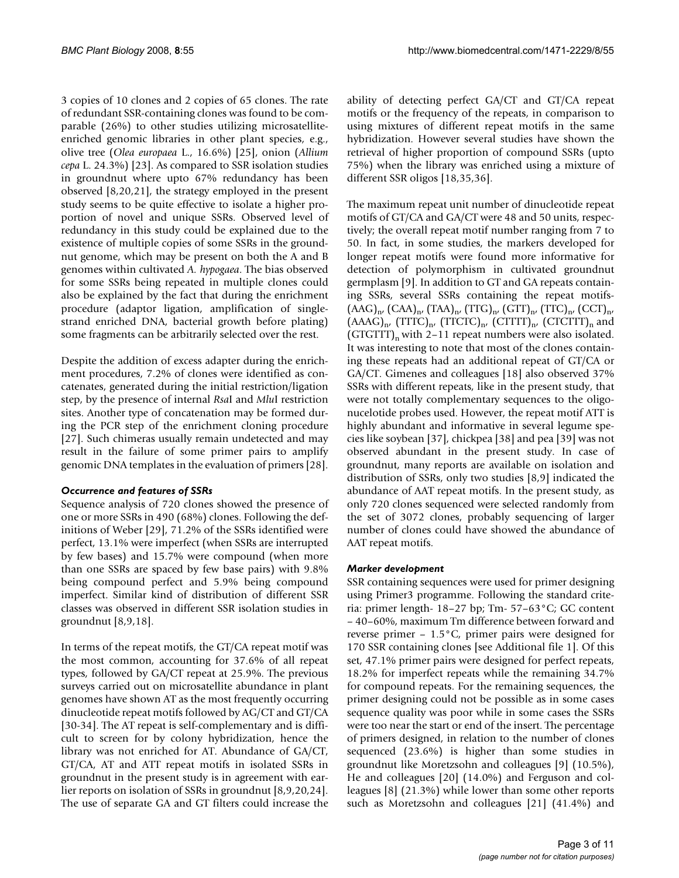3 copies of 10 clones and 2 copies of 65 clones. The rate of redundant SSR-containing clones was found to be comparable (26%) to other studies utilizing microsatelliteenriched genomic libraries in other plant species, e.g., olive tree (*Olea europaea* L., 16.6%) [25], onion (*Allium cepa* L. 24.3%) [[23\]](#page-9-2). As compared to SSR isolation studies in groundnut where upto 67% redundancy has been observed [\[8,](#page-9-0)20,21], the strategy employed in the present study seems to be quite effective to isolate a higher proportion of novel and unique SSRs. Observed level of redundancy in this study could be explained due to the existence of multiple copies of some SSRs in the groundnut genome, which may be present on both the A and B genomes within cultivated *A. hypogaea*. The bias observed for some SSRs being repeated in multiple clones could also be explained by the fact that during the enrichment procedure (adaptor ligation, amplification of singlestrand enriched DNA, bacterial growth before plating) some fragments can be arbitrarily selected over the rest.

Despite the addition of excess adapter during the enrichment procedures, 7.2% of clones were identified as concatenates, generated during the initial restriction/ligation step, by the presence of internal *Rsa*I and *Mlu*I restriction sites. Another type of concatenation may be formed during the PCR step of the enrichment cloning procedure [27]. Such chimeras usually remain undetected and may result in the failure of some primer pairs to amplify genomic DNA templates in the evaluation of primers [28].

# *Occurrence and features of SSRs*

Sequence analysis of 720 clones showed the presence of one or more SSRs in 490 (68%) clones. Following the definitions of Weber [[29](#page-10-0)], 71.2% of the SSRs identified were perfect, 13.1% were imperfect (when SSRs are interrupted by few bases) and 15.7% were compound (when more than one SSRs are spaced by few base pairs) with 9.8% being compound perfect and 5.9% being compound imperfect. Similar kind of distribution of different SSR classes was observed in different SSR isolation studies in groundnut [\[8,](#page-9-0)[9,](#page-9-1)18].

In terms of the repeat motifs, the GT/CA repeat motif was the most common, accounting for 37.6% of all repeat types, followed by GA/CT repeat at 25.9%. The previous surveys carried out on microsatellite abundance in plant genomes have shown AT as the most frequently occurring dinucleotide repeat motifs followed by AG/CT and GT/CA [30-34]. The AT repeat is self-complementary and is difficult to screen for by colony hybridization, hence the library was not enriched for AT. Abundance of GA/CT, GT/CA, AT and ATT repeat motifs in isolated SSRs in groundnut in the present study is in agreement with earlier reports on isolation of SSRs in groundnut [\[8](#page-9-0),[9](#page-9-1),20,24]. The use of separate GA and GT filters could increase the ability of detecting perfect GA/CT and GT/CA repeat motifs or the frequency of the repeats, in comparison to using mixtures of different repeat motifs in the same hybridization. However several studies have shown the retrieval of higher proportion of compound SSRs (upto 75%) when the library was enriched using a mixture of different SSR oligos [18,35,36].

The maximum repeat unit number of dinucleotide repeat motifs of GT/CA and GA/CT were 48 and 50 units, respectively; the overall repeat motif number ranging from 7 to 50. In fact, in some studies, the markers developed for longer repeat motifs were found more informative for detection of polymorphism in cultivated groundnut germplasm [[9\]](#page-9-1). In addition to GT and GA repeats containing SSRs, several SSRs containing the repeat motifs-  $(AdG)_{n}$ ,  $(CAA)_{n}$ ,  $(TAA)_{n}$ ,  $(TTG)_{n}$ ,  $(GTT)_{n}$ ,  $(TTC)_{n}$ ,  $(CCT)_{n}$  $(AAAG)_{n'}$  (TTTC)<sub>n'</sub> (TTCTC)<sub>n'</sub> (CTTTT)<sub>n'</sub> (CTCTTT)<sub>n</sub> and  $(GTGTT)$ <sub>n</sub> with 2–11 repeat numbers were also isolated. It was interesting to note that most of the clones containing these repeats had an additional repeat of GT/CA or GA/CT. Gimenes and colleagues [18] also observed 37% SSRs with different repeats, like in the present study, that were not totally complementary sequences to the oligonucelotide probes used. However, the repeat motif ATT is highly abundant and informative in several legume species like soybean [37], chickpea [[38\]](#page-10-1) and pea [39] was not observed abundant in the present study. In case of groundnut, many reports are available on isolation and distribution of SSRs, only two studies [[8](#page-9-0),[9](#page-9-1)] indicated the abundance of AAT repeat motifs. In the present study, as only 720 clones sequenced were selected randomly from the set of 3072 clones, probably sequencing of larger number of clones could have showed the abundance of AAT repeat motifs.

# *Marker development*

SSR containing sequences were used for primer designing using Primer3 programme. Following the standard criteria: primer length- 18–27 bp; Tm- 57–63°C; GC content – 40–60%, maximum Tm difference between forward and reverse primer – 1.5°C, primer pairs were designed for 170 SSR containing clones [see Additional file 1]. Of this set, 47.1% primer pairs were designed for perfect repeats, 18.2% for imperfect repeats while the remaining 34.7% for compound repeats. For the remaining sequences, the primer designing could not be possible as in some cases sequence quality was poor while in some cases the SSRs were too near the start or end of the insert. The percentage of primers designed, in relation to the number of clones sequenced (23.6%) is higher than some studies in groundnut like Moretzsohn and colleagues [[9](#page-9-1)] (10.5%), He and colleagues [20] (14.0%) and Ferguson and colleagues [[8](#page-9-0)] (21.3%) while lower than some other reports such as Moretzsohn and colleagues [21] (41.4%) and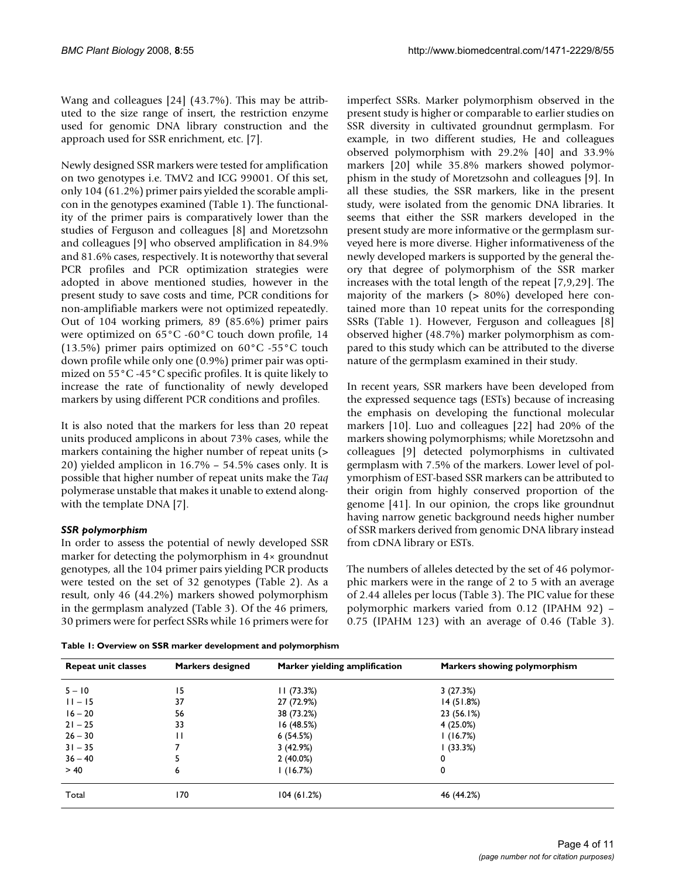Wang and colleagues [24] (43.7%). This may be attributed to the size range of insert, the restriction enzyme used for genomic DNA library construction and the approach used for SSR enrichment, etc. [7].

Newly designed SSR markers were tested for amplification on two genotypes i.e. TMV2 and ICG 99001. Of this set, only 104 (61.2%) primer pairs yielded the scorable amplicon in the genotypes examined (Table 1). The functionality of the primer pairs is comparatively lower than the studies of Ferguson and colleagues [[8](#page-9-0)] and Moretzsohn and colleagues [[9](#page-9-1)] who observed amplification in 84.9% and 81.6% cases, respectively. It is noteworthy that several PCR profiles and PCR optimization strategies were adopted in above mentioned studies, however in the present study to save costs and time, PCR conditions for non-amplifiable markers were not optimized repeatedly. Out of 104 working primers, 89 (85.6%) primer pairs were optimized on 65°C -60°C touch down profile, 14 (13.5%) primer pairs optimized on  $60^{\circ}$ C -55 $^{\circ}$ C touch down profile while only one (0.9%) primer pair was optimized on 55°C -45°C specific profiles. It is quite likely to increase the rate of functionality of newly developed markers by using different PCR conditions and profiles.

It is also noted that the markers for less than 20 repeat units produced amplicons in about 73% cases, while the markers containing the higher number of repeat units ( $>$ 20) yielded amplicon in 16.7% – 54.5% cases only. It is possible that higher number of repeat units make the *Taq* polymerase unstable that makes it unable to extend alongwith the template DNA [7].

# *SSR polymorphism*

In order to assess the potential of newly developed SSR marker for detecting the polymorphism in 4× groundnut genotypes, all the 104 primer pairs yielding PCR products were tested on the set of 32 genotypes (Table 2). As a result, only 46 (44.2%) markers showed polymorphism in the germplasm analyzed (Table 3). Of the 46 primers, 30 primers were for perfect SSRs while 16 primers were for imperfect SSRs. Marker polymorphism observed in the present study is higher or comparable to earlier studies on SSR diversity in cultivated groundnut germplasm. For example, in two different studies, He and colleagues observed polymorphism with 29.2% [40] and 33.9% markers [20] while 35.8% markers showed polymorphism in the study of Moretzsohn and colleagues [[9](#page-9-1)]. In all these studies, the SSR markers, like in the present study, were isolated from the genomic DNA libraries. It seems that either the SSR markers developed in the present study are more informative or the germplasm surveyed here is more diverse. Higher informativeness of the newly developed markers is supported by the general theory that degree of polymorphism of the SSR marker increases with the total length of the repeat [7,[9](#page-9-1),[29\]](#page-10-0). The majority of the markers (> 80%) developed here contained more than 10 repeat units for the corresponding SSRs (Table 1). However, Ferguson and colleagues [\[8\]](#page-9-0) observed higher (48.7%) marker polymorphism as compared to this study which can be attributed to the diverse nature of the germplasm examined in their study.

In recent years, SSR markers have been developed from the expressed sequence tags (ESTs) because of increasing the emphasis on developing the functional molecular markers [10]. Luo and colleagues [22] had 20% of the markers showing polymorphisms; while Moretzsohn and colleagues [[9\]](#page-9-1) detected polymorphisms in cultivated germplasm with 7.5% of the markers. Lower level of polymorphism of EST-based SSR markers can be attributed to their origin from highly conserved proportion of the genome [41]. In our opinion, the crops like groundnut having narrow genetic background needs higher number of SSR markers derived from genomic DNA library instead from cDNA library or ESTs.

The numbers of alleles detected by the set of 46 polymorphic markers were in the range of 2 to 5 with an average of 2.44 alleles per locus (Table 3). The PIC value for these polymorphic markers varied from 0.12 (IPAHM 92) – 0.75 (IPAHM 123) with an average of 0.46 (Table 3).

**Table 1: Overview on SSR marker development and polymorphism**

| <b>Repeat unit classes</b> | <b>Markers designed</b> | Marker yielding amplification | Markers showing polymorphism |
|----------------------------|-------------------------|-------------------------------|------------------------------|
| $5 - 10$                   | 15                      | 11(73.3%)                     | 3(27.3%)                     |
| $11 - 15$                  | 37                      | 27 (72.9%)                    | 14(51.8%)                    |
| $16 - 20$                  | 56                      | 38 (73.2%)                    | 23 (56.1%)                   |
| $21 - 25$                  | 33                      | 16 (48.5%)                    | 4(25.0%)                     |
| $26 - 30$                  | $\mathbf{H}$            | 6(54.5%)                      | 1(16.7%)                     |
| $31 - 35$                  |                         | 3(42.9%)                      | l (33.3%)                    |
| $36 - 40$                  |                         | $2(40.0\%)$                   | 0                            |
| > 40                       | 6                       | l (16.7%)                     | 0                            |
| Total                      | 170                     | 104(61.2%)                    | 46 (44.2%)                   |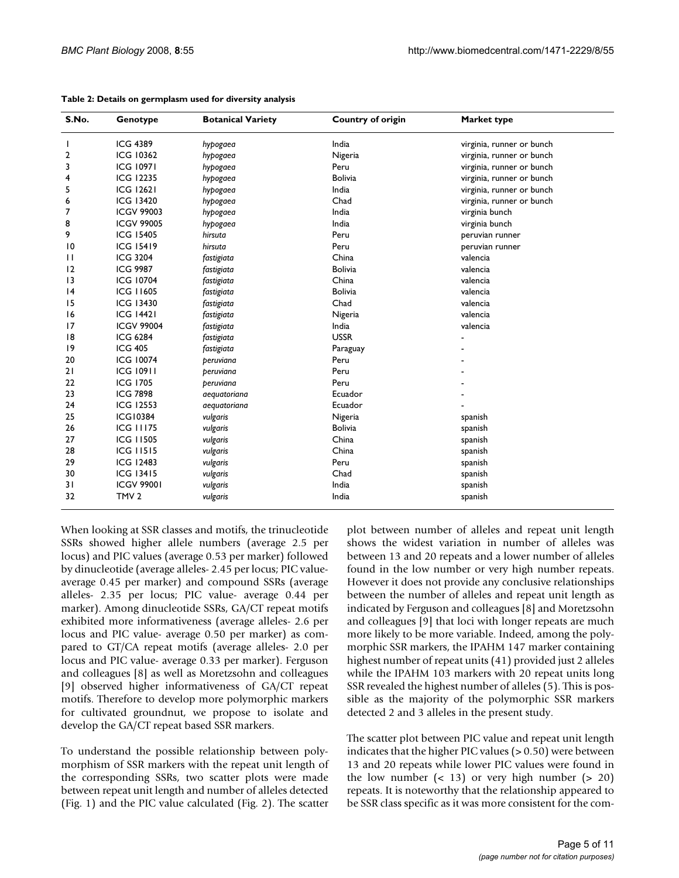| S.No.           | Genotype          | <b>Botanical Variety</b> | <b>Country of origin</b> | Market type               |
|-----------------|-------------------|--------------------------|--------------------------|---------------------------|
|                 | <b>ICG 4389</b>   | hypogaea                 | India                    | virginia, runner or bunch |
| $\mathbf{2}$    | <b>ICG 10362</b>  | hypogaea                 | Nigeria                  | virginia, runner or bunch |
| 3               | <b>ICG 10971</b>  | hypogaea                 | Peru                     | virginia, runner or bunch |
| $\overline{4}$  | <b>ICG 12235</b>  | hypogaea                 | <b>Bolivia</b>           | virginia, runner or bunch |
| 5               | <b>ICG 12621</b>  | hypogaea                 | India                    | virginia, runner or bunch |
| 6               | <b>ICG 13420</b>  | hypogaea                 | Chad                     | virginia, runner or bunch |
| 7               | <b>ICGV 99003</b> | hypogaea                 | India                    | virginia bunch            |
| 8               | <b>ICGV 99005</b> | hypogaea                 | India                    | virginia bunch            |
| 9               | <b>ICG 15405</b>  | hirsuta                  | Peru                     | peruvian runner           |
| 10              | <b>ICG 15419</b>  | hirsuta                  | Peru                     | peruvian runner           |
| П               | <b>ICG 3204</b>   | fastigiata               | China                    | valencia                  |
| 12              | <b>ICG 9987</b>   | fastigiata               | <b>Bolivia</b>           | valencia                  |
| $\overline{13}$ | <b>ICG 10704</b>  | fastigiata               | China                    | valencia                  |
| 4               | <b>ICG 11605</b>  | fastigiata               | <b>Bolivia</b>           | valencia                  |
| 15              | ICG 13430         | fastigiata               | Chad                     | valencia                  |
| 16              | <b>ICG 14421</b>  | fastigiata               | Nigeria                  | valencia                  |
| 17              | <b>ICGV 99004</b> | fastigiata               | India                    | valencia                  |
| 18              | <b>ICG 6284</b>   | fastigiata               | <b>USSR</b>              |                           |
| 9               | <b>ICG 405</b>    | fastigiata               | Paraguay                 |                           |
| 20              | <b>ICG 10074</b>  | peruviana                | Peru                     |                           |
| 21              | <b>ICG 10911</b>  | peruviana                | Peru                     |                           |
| 22              | <b>ICG 1705</b>   | peruviana                | Peru                     |                           |
| 23              | <b>ICG 7898</b>   | aequatoriana             | Ecuador                  |                           |
| 24              | <b>ICG 12553</b>  | aequatoriana             | Ecuador                  |                           |
| 25              | <b>ICG10384</b>   | vulgaris                 | Nigeria                  | spanish                   |
| 26              | <b>ICG 11175</b>  | vulgaris                 | <b>Bolivia</b>           | spanish                   |
| 27              | <b>ICG 11505</b>  | vulgaris                 | China                    | spanish                   |
| 28              | <b>ICG 11515</b>  | vulgaris                 | China                    | spanish                   |
| 29              | <b>ICG 12483</b>  | vulgaris                 | Peru                     | spanish                   |
| 30              | <b>ICG 13415</b>  | vulgaris                 | Chad                     | spanish                   |
| 31              | <b>ICGV 99001</b> | vulgaris                 | India                    | spanish                   |
| 32              | TMV <sub>2</sub>  | vulgaris                 | India                    | spanish                   |

#### **Table 2: Details on germplasm used for diversity analysis**

When looking at SSR classes and motifs, the trinucleotide SSRs showed higher allele numbers (average 2.5 per locus) and PIC values (average 0.53 per marker) followed by dinucleotide (average alleles- 2.45 per locus; PIC valueaverage 0.45 per marker) and compound SSRs (average alleles- 2.35 per locus; PIC value- average 0.44 per marker). Among dinucleotide SSRs, GA/CT repeat motifs exhibited more informativeness (average alleles- 2.6 per locus and PIC value- average 0.50 per marker) as compared to GT/CA repeat motifs (average alleles- 2.0 per locus and PIC value- average 0.33 per marker). Ferguson and colleagues [\[8\]](#page-9-0) as well as Moretzsohn and colleagues [[9\]](#page-9-1) observed higher informativeness of GA/CT repeat motifs. Therefore to develop more polymorphic markers for cultivated groundnut, we propose to isolate and develop the GA/CT repeat based SSR markers.

To understand the possible relationship between polymorphism of SSR markers with the repeat unit length of the corresponding SSRs, two scatter plots were made between repeat unit length and number of alleles detected (Fig. 1) and the PIC value calculated (Fig. 2). The scatter

plot between number of alleles and repeat unit length shows the widest variation in number of alleles was between 13 and 20 repeats and a lower number of alleles found in the low number or very high number repeats. However it does not provide any conclusive relationships between the number of alleles and repeat unit length as indicated by Ferguson and colleagues [\[8\]](#page-9-0) and Moretzsohn and colleagues [\[9\]](#page-9-1) that loci with longer repeats are much more likely to be more variable. Indeed, among the polymorphic SSR markers, the IPAHM 147 marker containing highest number of repeat units (41) provided just 2 alleles while the IPAHM 103 markers with 20 repeat units long SSR revealed the highest number of alleles (5). This is possible as the majority of the polymorphic SSR markers detected 2 and 3 alleles in the present study.

The scatter plot between PIC value and repeat unit length indicates that the higher PIC values  $(> 0.50)$  were between 13 and 20 repeats while lower PIC values were found in the low number  $\left( < 13 \right)$  or very high number  $\left( > 20 \right)$ repeats. It is noteworthy that the relationship appeared to be SSR class specific as it was more consistent for the com-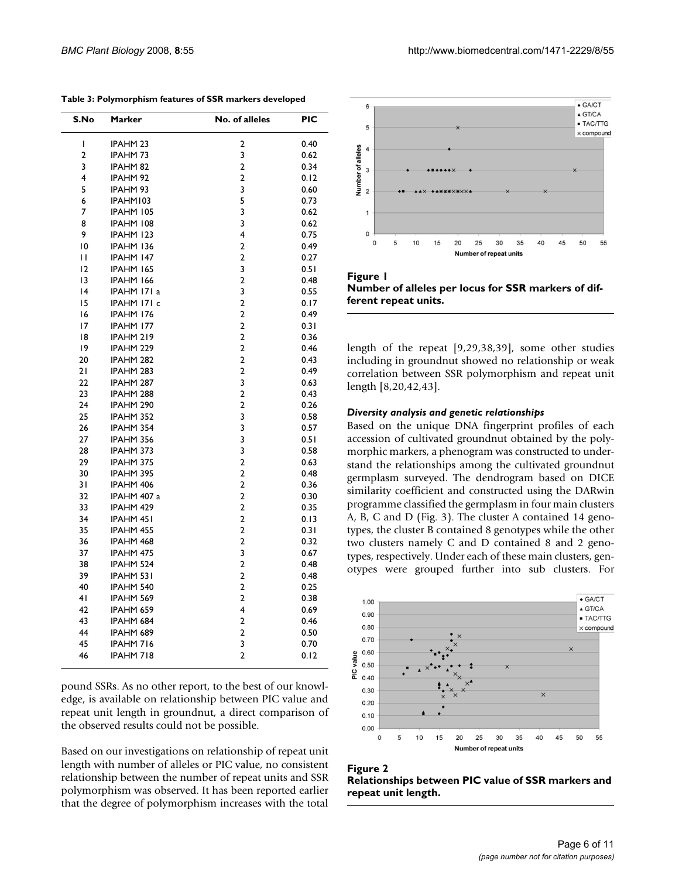| S.No           | Marker              | No. of alleles          | PIC  |
|----------------|---------------------|-------------------------|------|
| I              | <b>IPAHM 23</b>     | 2                       | 0.40 |
| $\overline{2}$ | <b>IPAHM73</b>      | 3                       | 0.62 |
| 3              | IPAHM <sub>82</sub> | $\overline{2}$          | 0.34 |
| 4              | <b>IPAHM 92</b>     | $\overline{2}$          | 0.12 |
| 5              | IPAHM 93            | 3                       | 0.60 |
| 6              | IPAHM103            | 5                       | 0.73 |
| 7              | IPAHM 105           | 3                       | 0.62 |
| 8              | IPAHM 108           | 3                       | 0.62 |
| 9              | IPAHM 123           | 4                       | 0.75 |
| 10             | IPAHM 136           | $\overline{\mathbf{c}}$ | 0.49 |
| П              | IPAHM 147           | $\overline{2}$          | 0.27 |
| 12             | IPAHM 165           | 3                       | 0.51 |
| 13             | IPAHM 166           | $\overline{\mathbf{c}}$ | 0.48 |
| 4              | IPAHM 171 a         | 3                       | 0.55 |
| 15             | IPAHM 171 c         | $\overline{2}$          | 0.17 |
| 16             | IPAHM 176           | $\overline{2}$          | 0.49 |
| 17             | IPAHM 177           | $\overline{2}$          | 0.31 |
| 18             | IPAHM 219           | $\overline{\mathbf{c}}$ | 0.36 |
| 19             | IPAHM 229           | $\overline{2}$          | 0.46 |
| 20             | IPAHM 282           | $\overline{2}$          | 0.43 |
| 21             | IPAHM 283           | $\overline{2}$          | 0.49 |
| 22             | IPAHM 287           | 3                       | 0.63 |
| 23             | IPAHM 288           | $\overline{2}$          | 0.43 |
| 24             | IPAHM 290           | $\overline{2}$          | 0.26 |
| 25             | IPAHM 352           | 3                       | 0.58 |
| 26             | IPAHM 354           | 3                       | 0.57 |
| 27             | IPAHM 356           | 3                       | 0.51 |
| 28             | IPAHM 373           | 3                       | 0.58 |
| 29             | IPAHM 375           | $\overline{\mathbf{c}}$ | 0.63 |
| 30             | IPAHM 395           | $\overline{2}$          | 0.48 |
|                | IPAHM 406           | $\overline{2}$          | 0.36 |
| 31             |                     | 2                       |      |
| 32             | IPAHM 407 a         | $\overline{2}$          | 0.30 |
| 33             | IPAHM 429           |                         | 0.35 |
| 34             | IPAHM 451           | $\overline{2}$          | 0.13 |
| 35             | IPAHM 455           | 2                       | 0.31 |
| 36             | IPAHM 468           | $\overline{2}$          | 0.32 |
| 37             | IPAHM 475           | 3                       | 0.67 |
| 38             | IPAHM 524           | 2                       | 0.48 |
| 39             | IPAHM 531           | $\overline{2}$          | 0.48 |
| 40             | IPAHM 540           | $\overline{2}$          | 0.25 |
| 41             | IPAHM 569           | 2                       | 0.38 |
| 42             | IPAHM 659           | 4                       | 0.69 |
| 43             | IPAHM 684           | 2                       | 0.46 |
| 44             | IPAHM 689           | 2                       | 0.50 |
| 45             | IPAHM 716           | 3                       | 0.70 |
| 46             | IPAHM 718           | 2                       | 0.12 |

**Table 3: Polymorphism features of SSR markers developed**

pound SSRs. As no other report, to the best of our knowledge, is available on relationship between PIC value and repeat unit length in groundnut, a direct comparison of the observed results could not be possible.

Based on our investigations on relationship of repeat unit length with number of alleles or PIC value, no consistent relationship between the number of repeat units and SSR polymorphism was observed. It has been reported earlier that the degree of polymorphism increases with the total



Figure 1 **Number of alleles per locus for SSR markers of different repeat units.**

length of the repeat [\[9](#page-9-1)[,29](#page-10-0),[38,](#page-10-1)39], some other studies including in groundnut showed no relationship or weak correlation between SSR polymorphism and repeat unit length [[8](#page-9-0),20,42,43].

#### *Diversity analysis and genetic relationships*

Based on the unique DNA fingerprint profiles of each accession of cultivated groundnut obtained by the polymorphic markers, a phenogram was constructed to understand the relationships among the cultivated groundnut germplasm surveyed. The dendrogram based on DICE similarity coefficient and constructed using the DARwin programme classified the germplasm in four main clusters A, B, C and D (Fig. 3). The cluster A contained 14 genotypes, the cluster B contained 8 genotypes while the other two clusters namely C and D contained 8 and 2 genotypes, respectively. Under each of these main clusters, genotypes were grouped further into sub clusters. For



# **Figure 2**

**Relationships between PIC value of SSR markers and repeat unit length.**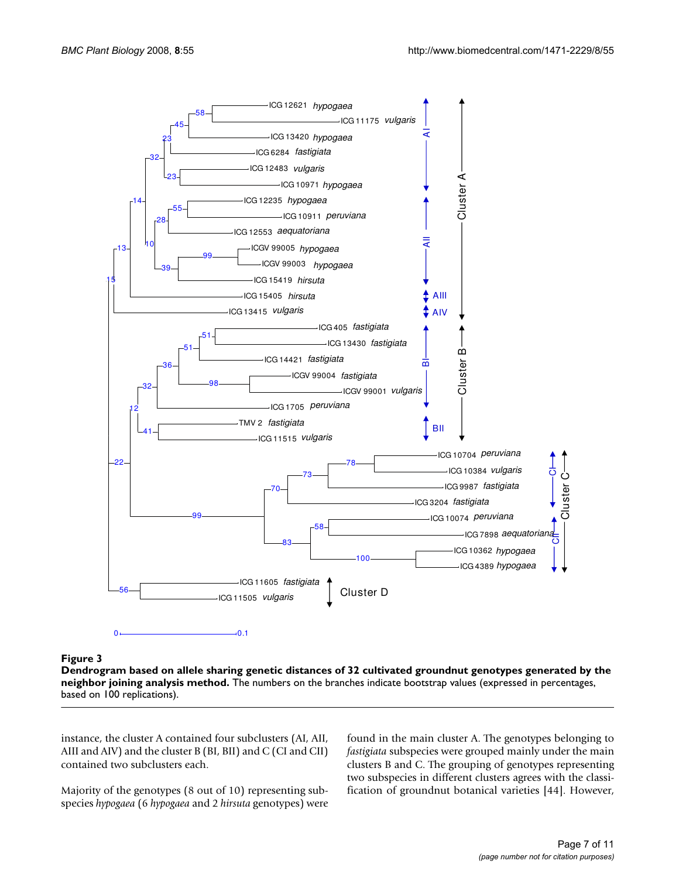

# analysis method **Figure 3** Dendrogram based on allele sharing genetic distances of 32 cultivated groundnut genotypes generated by the neighbor joining

**Dendrogram based on allele sharing genetic distances of 32 cultivated groundnut genotypes generated by the neighbor joining analysis method.** The numbers on the branches indicate bootstrap values (expressed in percentages, based on 100 replications).

instance, the cluster A contained four subclusters (AI, AII, AIII and AIV) and the cluster B (BI, BII) and C (CI and CII) contained two subclusters each.

Majority of the genotypes (8 out of 10) representing subspecies *hypogaea* (6 *hypogaea* and 2 *hirsuta* genotypes) were found in the main cluster A. The genotypes belonging to *fastigiata* subspecies were grouped mainly under the main clusters B and C. The grouping of genotypes representing two subspecies in different clusters agrees with the classification of groundnut botanical varieties [44]. However,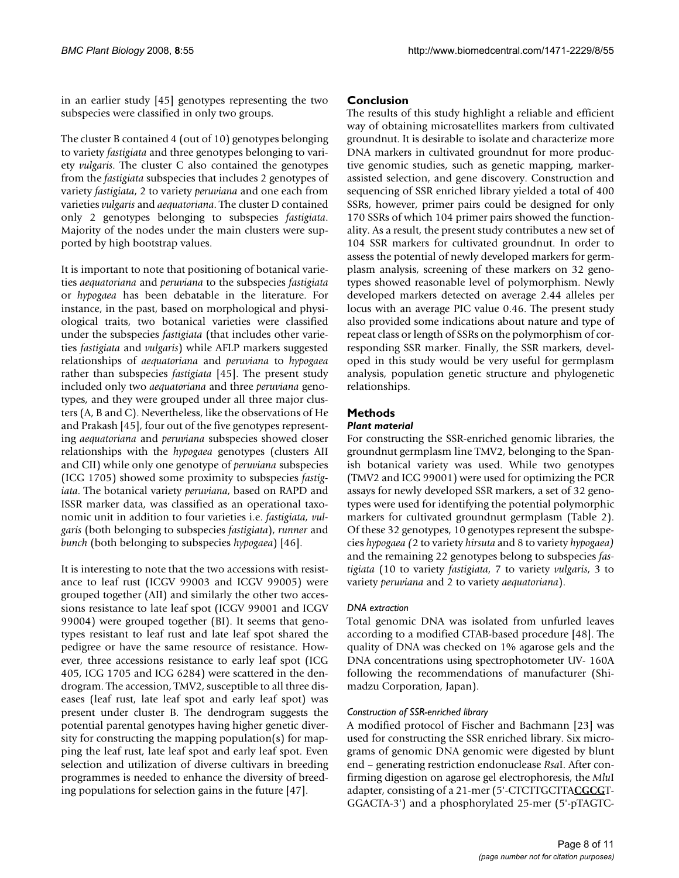in an earlier study [45] genotypes representing the two subspecies were classified in only two groups.

The cluster B contained 4 (out of 10) genotypes belonging to variety *fastigiata* and three genotypes belonging to variety *vulgaris*. The cluster C also contained the genotypes from the *fastigiata* subspecies that includes 2 genotypes of variety *fastigiata*, 2 to variety *peruviana* and one each from varieties *vulgaris* and *aequatoriana*. The cluster D contained only 2 genotypes belonging to subspecies *fastigiata*. Majority of the nodes under the main clusters were supported by high bootstrap values.

It is important to note that positioning of botanical varieties *aequatoriana* and *peruviana* to the subspecies *fastigiata* or *hypogaea* has been debatable in the literature. For instance, in the past, based on morphological and physiological traits, two botanical varieties were classified under the subspecies *fastigiata* (that includes other varieties *fastigiata* and *vulgaris*) while AFLP markers suggested relationships of *aequatoriana* and *peruviana* to *hypogaea* rather than subspecies *fastigiata* [45]. The present study included only two *aequatoriana* and three *peruviana* genotypes, and they were grouped under all three major clusters (A, B and C). Nevertheless, like the observations of He and Prakash [45], four out of the five genotypes representing *aequatoriana* and *peruviana* subspecies showed closer relationships with the *hypogaea* genotypes (clusters AII and CII) while only one genotype of *peruviana* subspecies (ICG 1705) showed some proximity to subspecies *fastigiata*. The botanical variety *peruviana*, based on RAPD and ISSR marker data, was classified as an operational taxonomic unit in addition to four varieties i.e. *fastigiata, vulgaris* (both belonging to subspecies *fastigiata*), *runner* and *bunch* (both belonging to subspecies *hypogaea*) [\[46\]](#page-10-2).

It is interesting to note that the two accessions with resistance to leaf rust (ICGV 99003 and ICGV 99005) were grouped together (AII) and similarly the other two accessions resistance to late leaf spot (ICGV 99001 and ICGV 99004) were grouped together (BI). It seems that genotypes resistant to leaf rust and late leaf spot shared the pedigree or have the same resource of resistance. However, three accessions resistance to early leaf spot (ICG 405, ICG 1705 and ICG 6284) were scattered in the dendrogram. The accession, TMV2, susceptible to all three diseases (leaf rust, late leaf spot and early leaf spot) was present under cluster B. The dendrogram suggests the potential parental genotypes having higher genetic diversity for constructing the mapping population(s) for mapping the leaf rust, late leaf spot and early leaf spot. Even selection and utilization of diverse cultivars in breeding programmes is needed to enhance the diversity of breeding populations for selection gains in the future [\[47](#page-10-3)].

#### **Conclusion**

The results of this study highlight a reliable and efficient way of obtaining microsatellites markers from cultivated groundnut. It is desirable to isolate and characterize more DNA markers in cultivated groundnut for more productive genomic studies, such as genetic mapping, markerassisted selection, and gene discovery. Construction and sequencing of SSR enriched library yielded a total of 400 SSRs, however, primer pairs could be designed for only 170 SSRs of which 104 primer pairs showed the functionality. As a result, the present study contributes a new set of 104 SSR markers for cultivated groundnut. In order to assess the potential of newly developed markers for germplasm analysis, screening of these markers on 32 genotypes showed reasonable level of polymorphism. Newly developed markers detected on average 2.44 alleles per locus with an average PIC value 0.46. The present study also provided some indications about nature and type of repeat class or length of SSRs on the polymorphism of corresponding SSR marker. Finally, the SSR markers, developed in this study would be very useful for germplasm analysis, population genetic structure and phylogenetic relationships.

# **Methods**

#### *Plant material*

For constructing the SSR-enriched genomic libraries, the groundnut germplasm line TMV2, belonging to the Spanish botanical variety was used. While two genotypes (TMV2 and ICG 99001) were used for optimizing the PCR assays for newly developed SSR markers, a set of 32 genotypes were used for identifying the potential polymorphic markers for cultivated groundnut germplasm (Table 2). Of these 32 genotypes, 10 genotypes represent the subspecies *hypogaea (*2 to variety *hirsuta* and 8 to variety *hypogaea)* and the remaining 22 genotypes belong to subspecies *fastigiata* (10 to variety *fastigiata*, 7 to variety *vulgaris*, 3 to variety *peruviana* and 2 to variety *aequatoriana*).

# *DNA extraction*

Total genomic DNA was isolated from unfurled leaves according to a modified CTAB-based procedure [48]. The quality of DNA was checked on 1% agarose gels and the DNA concentrations using spectrophotometer UV- 160A following the recommendations of manufacturer (Shimadzu Corporation, Japan).

# *Construction of SSR-enriched library*

A modified protocol of Fischer and Bachmann [[23](#page-9-2)] was used for constructing the SSR enriched library. Six micrograms of genomic DNA genomic were digested by blunt end – generating restriction endonuclease *Rsa*I. After confirming digestion on agarose gel electrophoresis, the *Mlu*I adapter, consisting of a 21-mer (5'-CTCTTGCTTA**CGCG**T-GGACTA-3') and a phosphorylated 25-mer (5'-pTAGTC-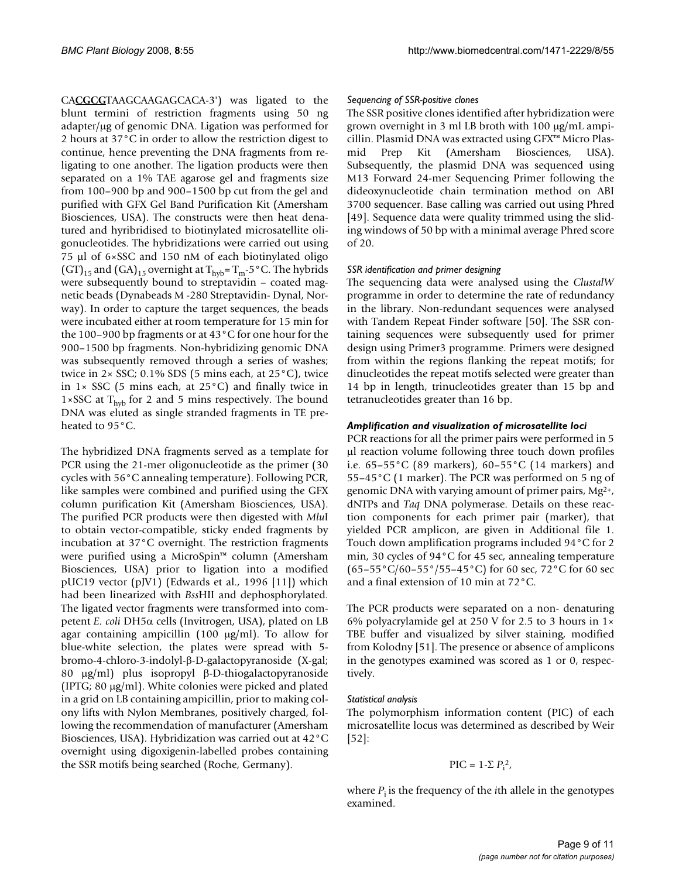CA**CGCG**TAAGCAAGAGCACA-3') was ligated to the blunt termini of restriction fragments using 50 ng adapter/μg of genomic DNA. Ligation was performed for 2 hours at 37°C in order to allow the restriction digest to continue, hence preventing the DNA fragments from religating to one another. The ligation products were then separated on a 1% TAE agarose gel and fragments size from 100–900 bp and 900–1500 bp cut from the gel and purified with GFX Gel Band Purification Kit (Amersham Biosciences, USA). The constructs were then heat denatured and hyribridised to biotinylated microsatellite oligonucleotides. The hybridizations were carried out using 75 μl of 6×SSC and 150 nM of each biotinylated oligo  $(GT)_{15}$  and  $(GA)_{15}$  overnight at  $T_{\text{hvb}} = T_m - 5$ °C. The hybrids were subsequently bound to streptavidin – coated magnetic beads (Dynabeads M -280 Streptavidin- Dynal, Norway). In order to capture the target sequences, the beads were incubated either at room temperature for 15 min for the 100–900 bp fragments or at 43°C for one hour for the 900–1500 bp fragments. Non-hybridizing genomic DNA was subsequently removed through a series of washes; twice in  $2 \times$  SSC; 0.1% SDS (5 mins each, at  $25^{\circ}$ C), twice in  $1 \times$  SSC (5 mins each, at 25 $^{\circ}$ C) and finally twice in 1×SSC at  $T_{\text{hyb}}$  for 2 and 5 mins respectively. The bound DNA was eluted as single stranded fragments in TE preheated to 95°C.

The hybridized DNA fragments served as a template for PCR using the 21-mer oligonucleotide as the primer (30 cycles with 56°C annealing temperature). Following PCR, like samples were combined and purified using the GFX column purification Kit (Amersham Biosciences, USA). The purified PCR products were then digested with *Mlu*I to obtain vector-compatible, sticky ended fragments by incubation at 37°C overnight. The restriction fragments were purified using a MicroSpin™ column (Amersham Biosciences, USA) prior to ligation into a modified pUC19 vector (pJV1) (Edwards et al., 1996 [11]) which had been linearized with *Bss*HII and dephosphorylated. The ligated vector fragments were transformed into competent *E. coli* DH5α cells (Invitrogen, USA), plated on LB agar containing ampicillin (100 μg/ml). To allow for blue-white selection, the plates were spread with 5 bromo-4-chloro-3-indolyl-β-D-galactopyranoside (X-gal; 80 μg/ml) plus isopropyl β-D-thiogalactopyranoside (IPTG; 80 μg/ml). White colonies were picked and plated in a grid on LB containing ampicillin, prior to making colony lifts with Nylon Membranes, positively charged, following the recommendation of manufacturer (Amersham Biosciences, USA). Hybridization was carried out at 42°C overnight using digoxigenin-labelled probes containing the SSR motifs being searched (Roche, Germany).

#### *Sequencing of SSR-positive clones*

The SSR positive clones identified after hybridization were grown overnight in 3 ml LB broth with 100 μg/mL ampicillin. Plasmid DNA was extracted using GFX™ Micro Plasmid Prep Kit (Amersham Biosciences, USA). Subsequently, the plasmid DNA was sequenced using M13 Forward 24-mer Sequencing Primer following the dideoxynucleotide chain termination method on ABI 3700 sequencer. Base calling was carried out using Phred [49]. Sequence data were quality trimmed using the sliding windows of 50 bp with a minimal average Phred score of 20.

#### *SSR identification and primer designing*

The sequencing data were analysed using the *ClustalW* programme in order to determine the rate of redundancy in the library. Non-redundant sequences were analysed with Tandem Repeat Finder software [50]. The SSR containing sequences were subsequently used for primer design using Primer3 programme. Primers were designed from within the regions flanking the repeat motifs; for dinucleotides the repeat motifs selected were greater than 14 bp in length, trinucleotides greater than 15 bp and tetranucleotides greater than 16 bp.

#### *Amplification and visualization of microsatellite loci*

PCR reactions for all the primer pairs were performed in 5 μl reaction volume following three touch down profiles i.e. 65–55°C (89 markers), 60–55°C (14 markers) and 55–45°C (1 marker). The PCR was performed on 5 ng of genomic DNA with varying amount of primer pairs,  $Mg^{2+}$ , dNTPs and *Taq* DNA polymerase. Details on these reaction components for each primer pair (marker), that yielded PCR amplicon, are given in Additional file 1. Touch down amplification programs included 94°C for 2 min, 30 cycles of 94°C for 45 sec, annealing temperature  $(65-55\degree C/60-55\degree /55-45\degree C)$  for 60 sec, 72 °C for 60 sec and a final extension of 10 min at 72°C.

The PCR products were separated on a non- denaturing 6% polyacrylamide gel at 250 V for 2.5 to 3 hours in 1× TBE buffer and visualized by silver staining, modified from Kolodny [51]. The presence or absence of amplicons in the genotypes examined was scored as 1 or 0, respectively.

# *Statistical analysis*

The polymorphism information content (PIC) of each microsatellite locus was determined as described by Weir [52]:

$$
\text{PIC} = 1\text{-}\Sigma\ P_\text{i}{}^2,
$$

where  $P_i$  is the frequency of the *i*th allele in the genotypes examined.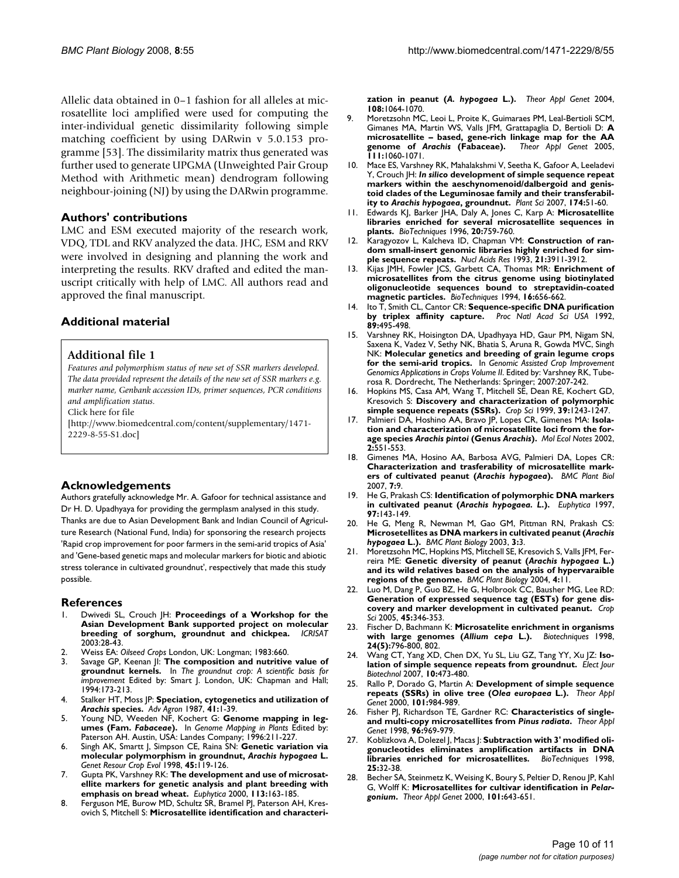Allelic data obtained in 0–1 fashion for all alleles at microsatellite loci amplified were used for computing the inter-individual genetic dissimilarity following simple matching coefficient by using DARwin v 5.0.153 programme [53]. The dissimilarity matrix thus generated was further used to generate UPGMA (Unweighted Pair Group Method with Arithmetic mean) dendrogram following neighbour-joining (NJ) by using the DARwin programme.

#### **Authors' contributions**

LMC and ESM executed majority of the research work, VDQ, TDL and RKV analyzed the data. JHC, ESM and RKV were involved in designing and planning the work and interpreting the results. RKV drafted and edited the manuscript critically with help of LMC. All authors read and approved the final manuscript.

# **Additional material**

#### **Additional file 1**

*Features and polymorphism status of new set of SSR markers developed. The data provided represent the details of the new set of SSR markers e.g. marker name, Genbank accession IDs, primer sequences, PCR conditions and amplification status.*

Click here for file

[\[http://www.biomedcentral.com/content/supplementary/1471-](http://www.biomedcentral.com/content/supplementary/1471-2229-8-55-S1.doc) 2229-8-55-S1.doc]

# **Acknowledgements**

Authors gratefully acknowledge Mr. A. Gafoor for technical assistance and Dr H. D. Upadhyaya for providing the germplasm analysed in this study. Thanks are due to Asian Development Bank and Indian Council of Agriculture Research (National Fund, India) for sponsoring the research projects 'Rapid crop improvement for poor farmers in the semi-arid tropics of Asia' and 'Gene-based genetic maps and molecular markers for biotic and abiotic stress tolerance in cultivated groundnut', respectively that made this study possible.

#### **References**

- 1. Dwivedi SL, Crouch JH: **Proceedings of a Workshop for the Asian Development Bank supported project on molecular** breeding of sorghum, groundnut and chickpea. 2003:28-43.
- 2. Weiss EA: *Oilseed Crops* London, UK: Longman; 1983:660.
- 3. Savage GP, Keenan JI: **The composition and nutritive value of groundnut kernels.** In *The groundnut crop: A scientific basis for improvement* Edited by: Smart J. London, UK: Chapman and Hall; 1994:173-213.
- 4. Stalker HT, Moss JP: **Speciation, cytogenetics and utilization of** *Arachis* **species.** *Adv Agron* 1987, **41:**1-39.
- 5. Young ND, Weeden NF, Kochert G: **Genome mapping in legumes (Fam.** *Fabaceae***).** In *Genome Mapping in Plants* Edited by: Paterson AH. Austin, USÁ: Landes Company; 1996:211-227.
- 6. Singh AK, Smartt J, Simpson CE, Raina SN: **Genetic variation via molecular polymorphism in groundnut,** *Arachis hypogaea* **L.** *Genet Resour Crop Evol* 1998, **45:**119-126.
- 7. Gupta PK, Varshney RK: **The development and use of microsatellite markers for genetic analysis and plant breeding with emphasis on bread wheat.** *Euphytica* 2000, **113:**163-185.
- <span id="page-9-0"></span>8. Ferguson ME, Burow MD, Schultz SR, Bramel PJ, Paterson AH, Kresovich S, Mitchell S: **Microsatellite identification and characteri-**

**zation in peanut (***A. hypogaea* **[L.\).](http://www.ncbi.nlm.nih.gov/entrez/query.fcgi?cmd=Retrieve&db=PubMed&dopt=Abstract&list_uids=15067392)** *Theor Appl Genet* 2004, **108:**1064-1070.

- <span id="page-9-1"></span>9. Moretzsohn MC, Leoi L, Proite K, Guimaraes PM, Leal-Bertioli SCM, Gimanes MA, Martin WS, Valls JFM, Grattapaglia D, Bertioli D: **A microsatellite – based, gene-rich linkage map for the AA genome of** *Arachis* **[\(Fabaceae\).](http://www.ncbi.nlm.nih.gov/entrez/query.fcgi?cmd=Retrieve&db=PubMed&dopt=Abstract&list_uids=16088397)** *Theor Appl Genet* 2005, **111:**1060-1071.
- 10. Mace ES, Varshney RK, Mahalakshmi V, Seetha K, Gafoor A, Leeladevi Y, Crouch JH: *In silico* **development of simple sequence repeat markers within the aeschynomenoid/dalbergoid and genistoid clades of the Leguminosae family and their transferability to** *Arachis hypogaea***, groundnut.** *Plant Sci* 2007, **174:**51-60.
- 11. Edwards KJ, Barker JHA, Daly A, Jones C, Karp A: **Microsatellite libraries enriched for several microsatellite sequences in plants.** *BioTechniques* 1996, **20:**759-760.
- 12. Karagyozov L, Kalcheva ID, Chapman VM: **[Construction of ran](http://www.ncbi.nlm.nih.gov/entrez/query.fcgi?cmd=Retrieve&db=PubMed&dopt=Abstract&list_uids=8367317)[dom small-insert genomic libraries highly enriched for sim](http://www.ncbi.nlm.nih.gov/entrez/query.fcgi?cmd=Retrieve&db=PubMed&dopt=Abstract&list_uids=8367317)[ple sequence repeats.](http://www.ncbi.nlm.nih.gov/entrez/query.fcgi?cmd=Retrieve&db=PubMed&dopt=Abstract&list_uids=8367317)** *Nucl Acids Res* 1993, **21:**3911-3912.
- 13. Kijas JMH, Fowler JCS, Garbett CA, Thomas MR: **[Enrichment of](http://www.ncbi.nlm.nih.gov/entrez/query.fcgi?cmd=Retrieve&db=PubMed&dopt=Abstract&list_uids=8024786) microsatellites from the citrus genome using biotinylated [oligonucleotide sequences bound to streptavidin-coated](http://www.ncbi.nlm.nih.gov/entrez/query.fcgi?cmd=Retrieve&db=PubMed&dopt=Abstract&list_uids=8024786) [magnetic particles.](http://www.ncbi.nlm.nih.gov/entrez/query.fcgi?cmd=Retrieve&db=PubMed&dopt=Abstract&list_uids=8024786)** *BioTechniques* 1994, **16:**656-662.
- 14. Ito T, Smith CL, Cantor CR: **[Sequence-specific DNA purification](http://www.ncbi.nlm.nih.gov/entrez/query.fcgi?cmd=Retrieve&db=PubMed&dopt=Abstract&list_uids=1731318) [by triplex affinity capture.](http://www.ncbi.nlm.nih.gov/entrez/query.fcgi?cmd=Retrieve&db=PubMed&dopt=Abstract&list_uids=1731318)** *Proc Natl Acad Sci USA* 1992, **89:**495-498.
- 15. Varshney RK, Hoisington DA, Upadhyaya HD, Gaur PM, Nigam SN, Saxena K, Vadez V, Sethy NK, Bhatia S, Aruna R, Gowda MVC, Singh NK: **Molecular genetics and breeding of grain legume crops for the semi-arid tropics.** In *Genomic Assisted Crop Improvement Genomics Applications in Crops Volume II*. Edited by: Varshney RK, Tuberosa R. Dordrecht, The Netherlands: Springer; 2007:207-242.
- Hopkins MS, Casa AM, Wang T, Mitchell SE, Dean RE, Kochert GD, Kresovich S: **Discovery and characterization of polymorphic simple sequence repeats (SSRs).** *Crop Sci* 1999, **39:**1243-1247.
- 17. Palmieri DA, Hoshino AA, Bravo JP, Lopes CR, Gimenes MA: **Isolation and characterization of microsatellite loci from the forage species** *Arachis pintoi* **(Genus** *Arachis***).** *Mol Ecol Notes* 2002, **2:**551-553.
- 18. Gimenes MA, Hosino AA, Barbosa AVG, Palmieri DA, Lopes CR: **Characterization and trasferability of microsatellite markers of cultivated peanut (***Arachis hypogaea***[\).](http://www.ncbi.nlm.nih.gov/entrez/query.fcgi?cmd=Retrieve&db=PubMed&dopt=Abstract&list_uids=17326826)** *BMC Plant Biol* 2007, **7:**9.
- 19. He G, Prakash CS: **Identification of polymorphic DNA markers in cultivated peanut (***Arachis hypogaea. L***.).** *Euphytica* 1997, **97:**143-149.
- 20. He G, Meng R, Newman M, Gao GM, Pittman RN, Prakash CS: **Microsetellites as DNA markers in cultivated peanut (***Arachis hypogaea* **[L.\).](http://www.ncbi.nlm.nih.gov/entrez/query.fcgi?cmd=Retrieve&db=PubMed&dopt=Abstract&list_uids=12713672)** *BMC Plant Biology* 2003, **3:**3.
- 21. Moretzsohn MC, Hopkins MS, Mitchell SE, Kresovich S, Valls JFM, Ferreira ME: **Genetic diversity of peanut (***Arachis hypogaea* **[L.\)](http://www.ncbi.nlm.nih.gov/entrez/query.fcgi?cmd=Retrieve&db=PubMed&dopt=Abstract&list_uids=15253775) [and its wild relatives based on the analysis of hypervaraible](http://www.ncbi.nlm.nih.gov/entrez/query.fcgi?cmd=Retrieve&db=PubMed&dopt=Abstract&list_uids=15253775) [regions of the genome.](http://www.ncbi.nlm.nih.gov/entrez/query.fcgi?cmd=Retrieve&db=PubMed&dopt=Abstract&list_uids=15253775)** *BMC Plant Biology* 2004, **4:**11.
- 22. Luo M, Dang P, Guo BZ, He G, Holbrook CC, Bausher MG, Lee RD: **Generation of expressed sequence tag (ESTs) for gene discovery and marker development in cultivated peanut.** *Crop Sci* 2005, **45:**346-353.
- <span id="page-9-2"></span>23. Fischer D, Bachmann K: **Microsatelite enrichment in organisms with large genomes (***Allium cepa* **[L.\).](http://www.ncbi.nlm.nih.gov/entrez/query.fcgi?cmd=Retrieve&db=PubMed&dopt=Abstract&list_uids=9591129)** *Biotechniques* 1998, **24(5):**796-800, 802.
- 24. Wang CT, Yang XD, Chen DX, Yu SL, Liu GZ, Tang YY, Xu JZ: **Isolation of simple sequence repeats from groundnut.** *Elect Jour Biotechnol* 2007, **10:**473-480.
- 25. Rallo P, Dorado G, Martin A: **Development of simple sequence repeats (SSRs) in olive tree (***Olea europaea* **L.).** *Theor Appl Genet* 2000, **101:**984-989.
- 26. Fisher PJ, Richardson TE, Gardner RC: **Characteristics of singleand multi-copy microsatellites from** *Pinus radiata***.** *Theor Appl Genet* 1998, **96:**969-979.
- 27. Koblizkova A, Dolezel J, Macas J: **[Subtraction with 3' modified oli](http://www.ncbi.nlm.nih.gov/entrez/query.fcgi?cmd=Retrieve&db=PubMed&dopt=Abstract&list_uids=9668971)[gonucleotides eliminates amplification artifacts in DNA](http://www.ncbi.nlm.nih.gov/entrez/query.fcgi?cmd=Retrieve&db=PubMed&dopt=Abstract&list_uids=9668971) [libraries enriched for microsatellites.](http://www.ncbi.nlm.nih.gov/entrez/query.fcgi?cmd=Retrieve&db=PubMed&dopt=Abstract&list_uids=9668971)** *BioTechniques* 1998, **25:**32-38.
- 28. Becher SA, Steinmetz K, Weising K, Boury S, Peltier D, Renou JP, Kahl G, Wolff K: **Microsatellites for cultivar identification in** *Pelargonium***.** *Theor Appl Genet* 2000, **101:**643-651.